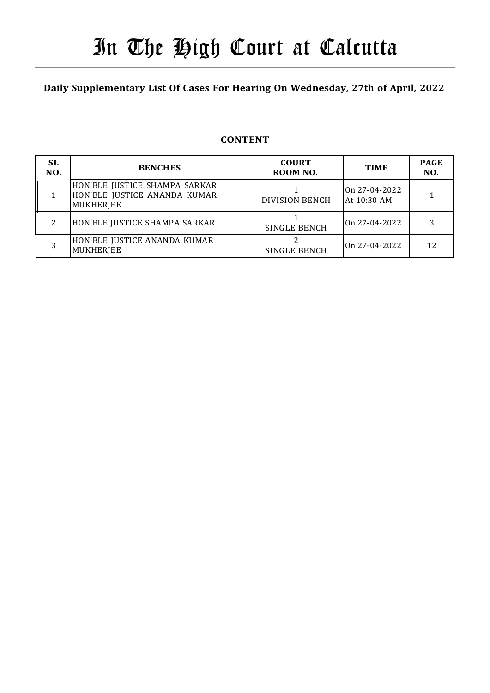# In The High Court at Calcutta

### Daily Supplementary List Of Cases For Hearing On Wednesday, 27th of April, 2022

### **CONTENT**

| <b>SL</b><br>NO. | <b>BENCHES</b>                                                                    | <b>COURT</b><br>ROOM NO. | <b>TIME</b>                  | <b>PAGE</b><br>NO. |
|------------------|-----------------------------------------------------------------------------------|--------------------------|------------------------------|--------------------|
|                  | HON'BLE JUSTICE SHAMPA SARKAR<br>HON'BLE JUSTICE ANANDA KUMAR<br><b>MUKHERJEE</b> | <b>DIVISION BENCH</b>    | On 27-04-2022<br>At 10:30 AM |                    |
| າ                | HON'BLE JUSTICE SHAMPA SARKAR                                                     | <b>SINGLE BENCH</b>      | On 27-04-2022                |                    |
|                  | HON'BLE JUSTICE ANANDA KUMAR<br><b>MUKHERJEE</b>                                  | SINGLE BENCH             | On 27-04-2022                |                    |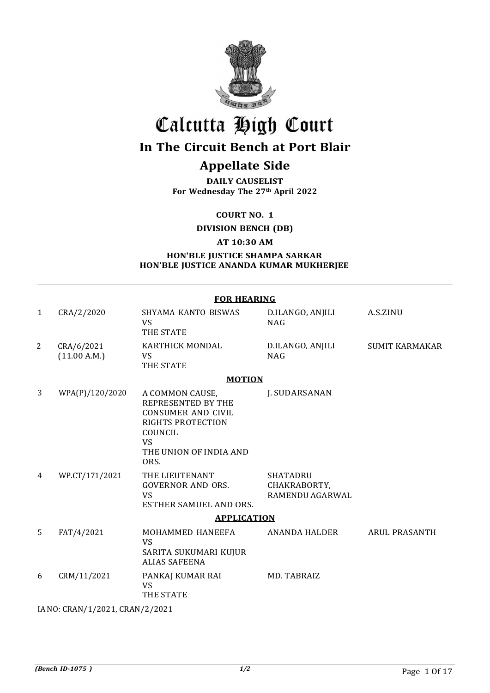

## Calcutta High Court

## In The Circuit Bench at Port Blair

## Appellate Side

DAILY CAUSELIST For Wednesday The 27th April 2022

COURT NO. 1

DIVISION BENCH (DB)

AT 10:30 AM

HON'BLE JUSTICE SHAMPA SARKAR HON'BLE JUSTICE ANANDA KUMAR MUKHERJEE

|              | <b>FOR HEARING</b>         |                                                                                                                                                   |                                                    |                       |  |  |
|--------------|----------------------------|---------------------------------------------------------------------------------------------------------------------------------------------------|----------------------------------------------------|-----------------------|--|--|
| $\mathbf{1}$ | CRA/2/2020                 | SHYAMA KANTO BISWAS<br><b>VS</b><br>THE STATE                                                                                                     | D.ILANGO, ANJILI<br><b>NAG</b>                     | A.S.ZINU              |  |  |
| 2            | CRA/6/2021<br>(11.00 A.M.) | KARTHICK MONDAL<br><b>VS</b><br>THE STATE                                                                                                         | D.ILANGO, ANJILI<br><b>NAG</b>                     | <b>SUMIT KARMAKAR</b> |  |  |
|              |                            | <b>MOTION</b>                                                                                                                                     |                                                    |                       |  |  |
| 3            | WPA(P)/120/2020            | A COMMON CAUSE,<br>REPRESENTED BY THE<br><b>CONSUMER AND CIVIL</b><br>RIGHTS PROTECTION<br>COUNCIL<br><b>VS</b><br>THE UNION OF INDIA AND<br>ORS. | J. SUDARSANAN                                      |                       |  |  |
| 4            | WP.CT/171/2021             | THE LIEUTENANT<br><b>GOVERNOR AND ORS.</b><br><b>VS</b><br>ESTHER SAMUEL AND ORS.                                                                 | <b>SHATADRU</b><br>CHAKRABORTY,<br>RAMENDU AGARWAL |                       |  |  |
|              |                            | <b>APPLICATION</b>                                                                                                                                |                                                    |                       |  |  |
| 5            | FAT/4/2021                 | MOHAMMED HANEEFA<br><b>VS</b><br>SARITA SUKUMARI KUJUR<br><b>ALIAS SAFEENA</b>                                                                    | ANANDA HALDER                                      | <b>ARUL PRASANTH</b>  |  |  |
| 6            | CRM/11/2021                | PANKAJ KUMAR RAI<br><b>VS</b><br>THE STATE                                                                                                        | MD. TABRAIZ                                        |                       |  |  |

IA NO: CRAN/1/2021, CRAN/2/2021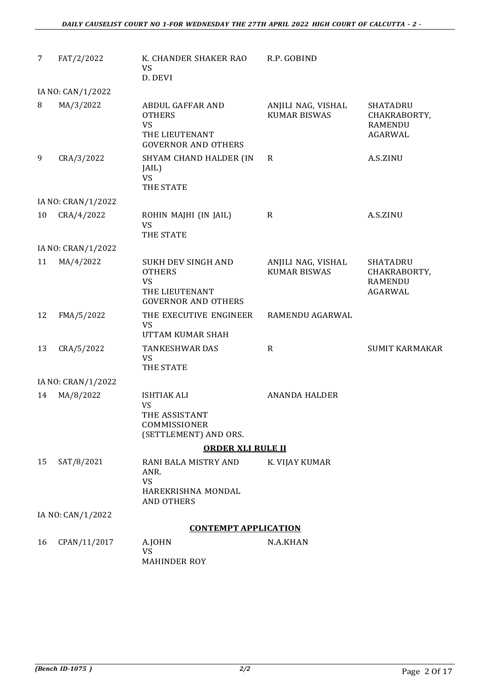| 7  | FAT/2/2022         | K. CHANDER SHAKER RAO<br><b>VS</b><br>D. DEVI                                                                         | R.P. GOBIND                               |                                                              |
|----|--------------------|-----------------------------------------------------------------------------------------------------------------------|-------------------------------------------|--------------------------------------------------------------|
|    | IA NO: CAN/1/2022  |                                                                                                                       |                                           |                                                              |
| 8  | MA/3/2022          | <b>ABDUL GAFFAR AND</b><br><b>OTHERS</b><br>VS<br>THE LIEUTENANT<br><b>GOVERNOR AND OTHERS</b>                        | ANJILI NAG, VISHAL<br><b>KUMAR BISWAS</b> | <b>SHATADRU</b><br>CHAKRABORTY,<br><b>RAMENDU</b><br>AGARWAL |
| 9  | CRA/3/2022         | SHYAM CHAND HALDER (IN<br>JAIL)<br><b>VS</b><br>THE STATE                                                             | $\mathbf R$                               | A.S.ZINU                                                     |
|    | IA NO: CRAN/1/2022 |                                                                                                                       |                                           |                                                              |
| 10 | CRA/4/2022         | ROHIN MAJHI (IN JAIL)<br><b>VS</b><br>THE STATE                                                                       | $\mathbf R$                               | A.S.ZINU                                                     |
|    | IA NO: CRAN/1/2022 |                                                                                                                       |                                           |                                                              |
| 11 | MA/4/2022          | <b>SUKH DEV SINGH AND</b><br><b>OTHERS</b><br>VS<br>THE LIEUTENANT<br><b>GOVERNOR AND OTHERS</b>                      | ANJILI NAG, VISHAL<br><b>KUMAR BISWAS</b> | <b>SHATADRU</b><br>CHAKRABORTY,<br><b>RAMENDU</b><br>AGARWAL |
| 12 | FMA/5/2022         | THE EXECUTIVE ENGINEER<br>VS<br>UTTAM KUMAR SHAH                                                                      | RAMENDU AGARWAL                           |                                                              |
| 13 | CRA/5/2022         | <b>TANKESHWAR DAS</b><br><b>VS</b><br>THE STATE                                                                       | $\mathbf R$                               | <b>SUMIT KARMAKAR</b>                                        |
|    | IA NO: CRAN/1/2022 |                                                                                                                       |                                           |                                                              |
| 14 | MA/8/2022          | <b>ISHTIAK ALI</b><br><b>VS</b><br>THE ASSISTANT<br>COMMISSIONER<br>(SETTLEMENT) AND ORS.<br><b>ORDER XLI RULE II</b> | <b>ANANDA HALDER</b>                      |                                                              |
| 15 | SAT/8/2021         | RANI BALA MISTRY AND                                                                                                  | K. VIJAY KUMAR                            |                                                              |
|    |                    | ANR.<br><b>VS</b><br>HAREKRISHNA MONDAL<br><b>AND OTHERS</b>                                                          |                                           |                                                              |
|    | IA NO: CAN/1/2022  |                                                                                                                       |                                           |                                                              |
|    |                    | <b>CONTEMPT APPLICATION</b>                                                                                           |                                           |                                                              |
| 16 | CPAN/11/2017       | A.JOHN<br>VS<br><b>MAHINDER ROY</b>                                                                                   | N.A.KHAN                                  |                                                              |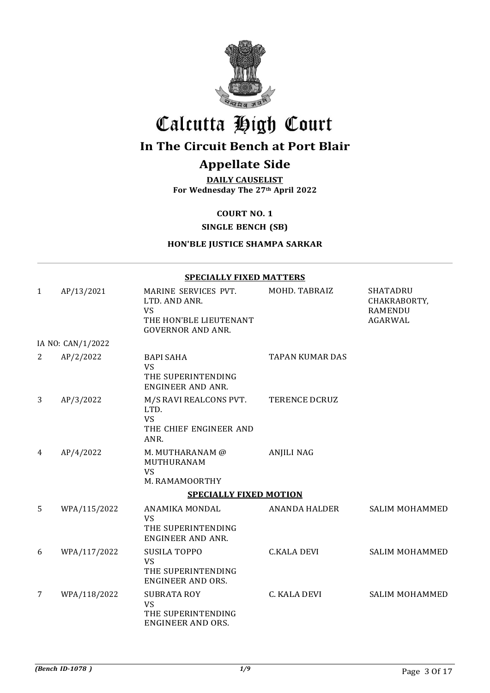

## Calcutta High Court

## In The Circuit Bench at Port Blair

### Appellate Side

DAILY CAUSELIST For Wednesday The 27th April 2022

COURT NO. 1

SINGLE BENCH (SB)

#### HON'BLE JUSTICE SHAMPA SARKAR

|              | <b>SPECIALLY FIXED MATTERS</b> |                                                                                                          |                        |                                                                     |  |
|--------------|--------------------------------|----------------------------------------------------------------------------------------------------------|------------------------|---------------------------------------------------------------------|--|
| $\mathbf{1}$ | AP/13/2021                     | MARINE SERVICES PVT.<br>LTD. AND ANR.<br><b>VS</b><br>THE HON'BLE LIEUTENANT<br><b>GOVERNOR AND ANR.</b> | MOHD. TABRAIZ          | <b>SHATADRU</b><br>CHAKRABORTY,<br><b>RAMENDU</b><br><b>AGARWAL</b> |  |
|              | IA NO: CAN/1/2022              |                                                                                                          |                        |                                                                     |  |
| 2            | AP/2/2022                      | <b>BAPI SAHA</b><br><b>VS</b><br>THE SUPERINTENDING<br>ENGINEER AND ANR.                                 | <b>TAPAN KUMAR DAS</b> |                                                                     |  |
| 3            | AP/3/2022                      | M/S RAVI REALCONS PVT.<br>LTD.<br><b>VS</b><br>THE CHIEF ENGINEER AND<br>ANR.                            | <b>TERENCE DCRUZ</b>   |                                                                     |  |
| 4            | AP/4/2022                      | M. MUTHARANAM @<br>MUTHURANAM<br><b>VS</b><br>M. RAMAMOORTHY                                             | <b>ANJILI NAG</b>      |                                                                     |  |
|              |                                | <b>SPECIALLY FIXED MOTION</b>                                                                            |                        |                                                                     |  |
| 5            | WPA/115/2022                   | ANAMIKA MONDAL<br><b>VS</b><br>THE SUPERINTENDING<br><b>ENGINEER AND ANR.</b>                            | <b>ANANDA HALDER</b>   | <b>SALIM MOHAMMED</b>                                               |  |
| 6            | WPA/117/2022                   | <b>SUSILA TOPPO</b><br><b>VS</b><br>THE SUPERINTENDING<br><b>ENGINEER AND ORS.</b>                       | <b>C.KALA DEVI</b>     | <b>SALIM MOHAMMED</b>                                               |  |
| 7            | WPA/118/2022                   | <b>SUBRATA ROY</b><br><b>VS</b><br>THE SUPERINTENDING<br>ENGINEER AND ORS.                               | C. KALA DEVI           | SALIM MOHAMMED                                                      |  |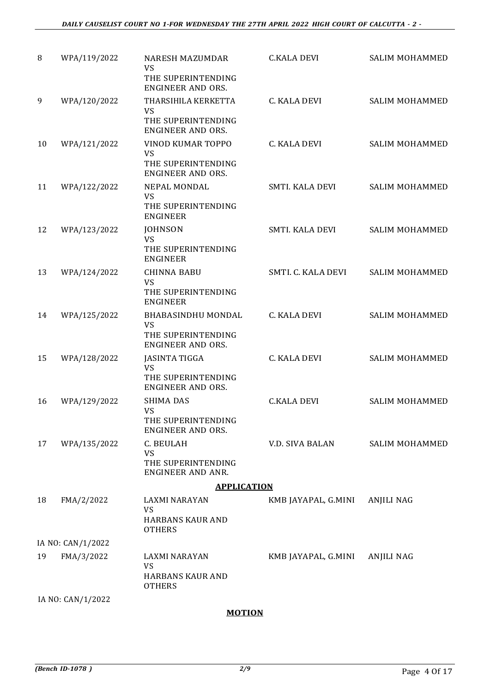| 8  | WPA/119/2022      | <b>NARESH MAZUMDAR</b><br>VS                                                            | <b>C.KALA DEVI</b>  | SALIM MOHAMMED        |
|----|-------------------|-----------------------------------------------------------------------------------------|---------------------|-----------------------|
|    |                   | THE SUPERINTENDING<br><b>ENGINEER AND ORS.</b>                                          |                     |                       |
| 9  | WPA/120/2022      | THARSIHILA KERKETTA<br><b>VS</b>                                                        | C. KALA DEVI        | SALIM MOHAMMED        |
|    |                   | THE SUPERINTENDING<br><b>ENGINEER AND ORS.</b>                                          |                     |                       |
| 10 | WPA/121/2022      | VINOD KUMAR TOPPO<br>VS<br>THE SUPERINTENDING<br><b>ENGINEER AND ORS.</b>               | C. KALA DEVI        | <b>SALIM MOHAMMED</b> |
| 11 | WPA/122/2022      | NEPAL MONDAL<br><b>VS</b><br>THE SUPERINTENDING                                         | SMTI. KALA DEVI     | SALIM MOHAMMED        |
| 12 | WPA/123/2022      | <b>ENGINEER</b><br><b>JOHNSON</b><br><b>VS</b><br>THE SUPERINTENDING<br><b>ENGINEER</b> | SMTI. KALA DEVI     | SALIM MOHAMMED        |
| 13 | WPA/124/2022      | <b>CHINNA BABU</b><br><b>VS</b><br>THE SUPERINTENDING<br><b>ENGINEER</b>                | SMTI. C. KALA DEVI  | SALIM MOHAMMED        |
| 14 | WPA/125/2022      | BHABASINDHU MONDAL<br><b>VS</b><br>THE SUPERINTENDING<br><b>ENGINEER AND ORS.</b>       | C. KALA DEVI        | SALIM MOHAMMED        |
| 15 | WPA/128/2022      | <b>JASINTA TIGGA</b><br>VS<br>THE SUPERINTENDING<br><b>ENGINEER AND ORS.</b>            | C. KALA DEVI        | SALIM MOHAMMED        |
| 16 | WPA/129/2022      | <b>SHIMA DAS</b><br>VS<br>THE SUPERINTENDING<br><b>ENGINEER AND ORS.</b>                | <b>C.KALA DEVI</b>  | <b>SALIM MOHAMMED</b> |
| 17 | WPA/135/2022      | C. BEULAH<br>VS<br>THE SUPERINTENDING<br><b>ENGINEER AND ANR.</b>                       | V.D. SIVA BALAN     | SALIM MOHAMMED        |
|    |                   | <b>APPLICATION</b>                                                                      |                     |                       |
| 18 | FMA/2/2022        | LAXMI NARAYAN<br><b>VS</b><br><b>HARBANS KAUR AND</b><br><b>OTHERS</b>                  | KMB JAYAPAL, G.MINI | ANJILI NAG            |
|    | IA NO: CAN/1/2022 |                                                                                         |                     |                       |
| 19 | FMA/3/2022        | LAXMI NARAYAN<br><b>VS</b><br>HARBANS KAUR AND<br><b>OTHERS</b>                         | KMB JAYAPAL, G.MINI | <b>ANJILI NAG</b>     |
|    | IA NO: CAN/1/2022 |                                                                                         |                     |                       |
|    |                   |                                                                                         |                     |                       |

#### **MOTION**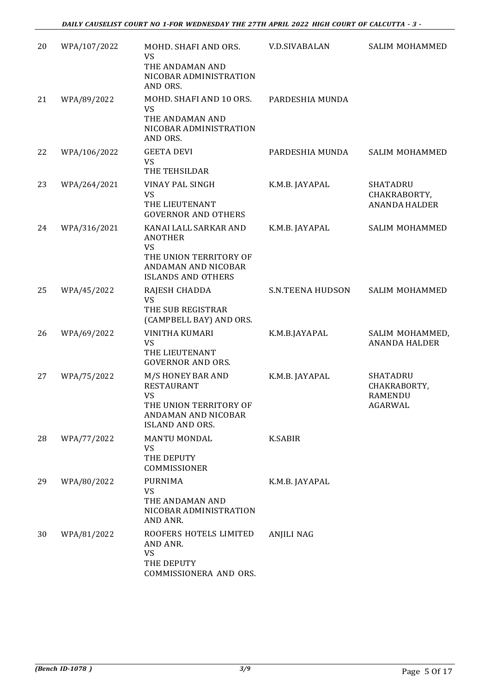*DAILY CAUSELIST COURT NO 1-FOR WEDNESDAY THE 27TH APRIL 2022 HIGH COURT OF CALCUTTA - 3 -*

| 20 | WPA/107/2022 | MOHD. SHAFI AND ORS.<br><b>VS</b><br>THE ANDAMAN AND<br>NICOBAR ADMINISTRATION<br>AND ORS.                                         | <b>V.D.SIVABALAN</b>    | SALIM MOHAMMED                                               |
|----|--------------|------------------------------------------------------------------------------------------------------------------------------------|-------------------------|--------------------------------------------------------------|
| 21 | WPA/89/2022  | MOHD. SHAFI AND 10 ORS.<br><b>VS</b><br>THE ANDAMAN AND<br>NICOBAR ADMINISTRATION<br>AND ORS.                                      | PARDESHIA MUNDA         |                                                              |
| 22 | WPA/106/2022 | <b>GEETA DEVI</b><br>VS<br>THE TEHSILDAR                                                                                           | PARDESHIA MUNDA         | SALIM MOHAMMED                                               |
| 23 | WPA/264/2021 | VINAY PAL SINGH<br><b>VS</b><br>THE LIEUTENANT<br><b>GOVERNOR AND OTHERS</b>                                                       | K.M.B. JAYAPAL          | <b>SHATADRU</b><br>CHAKRABORTY,<br><b>ANANDA HALDER</b>      |
| 24 | WPA/316/2021 | KANAI LALL SARKAR AND<br><b>ANOTHER</b><br><b>VS</b><br>THE UNION TERRITORY OF<br>ANDAMAN AND NICOBAR<br><b>ISLANDS AND OTHERS</b> | K.M.B. JAYAPAL          | SALIM MOHAMMED                                               |
| 25 | WPA/45/2022  | RAJESH CHADDA<br>VS<br>THE SUB REGISTRAR<br>(CAMPBELL BAY) AND ORS.                                                                | <b>S.N.TEENA HUDSON</b> | SALIM MOHAMMED                                               |
| 26 | WPA/69/2022  | VINITHA KUMARI<br><b>VS</b><br>THE LIEUTENANT<br><b>GOVERNOR AND ORS.</b>                                                          | K.M.B.JAYAPAL           | SALIM MOHAMMED,<br><b>ANANDA HALDER</b>                      |
| 27 | WPA/75/2022  | M/S HONEY BAR AND<br><b>RESTAURANT</b><br>VS<br>THE UNION TERRITORY OF<br>ANDAMAN AND NICOBAR<br><b>ISLAND AND ORS.</b>            | K.M.B. JAYAPAL          | <b>SHATADRU</b><br>CHAKRABORTY,<br><b>RAMENDU</b><br>AGARWAL |
| 28 | WPA/77/2022  | <b>MANTU MONDAL</b><br>VS<br>THE DEPUTY<br>COMMISSIONER                                                                            | <b>K.SABIR</b>          |                                                              |
| 29 | WPA/80/2022  | <b>PURNIMA</b><br>VS<br>THE ANDAMAN AND<br>NICOBAR ADMINISTRATION<br>AND ANR.                                                      | K.M.B. JAYAPAL          |                                                              |
| 30 | WPA/81/2022  | ROOFERS HOTELS LIMITED<br>AND ANR.<br><b>VS</b><br>THE DEPUTY<br>COMMISSIONERA AND ORS.                                            | <b>ANJILI NAG</b>       |                                                              |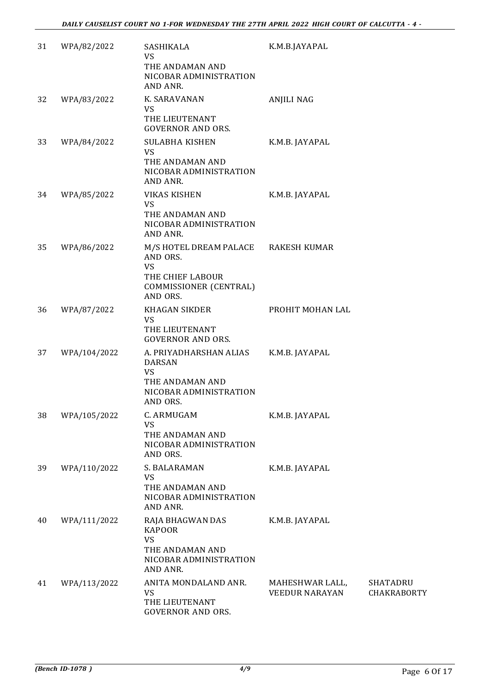| 31 | WPA/82/2022  | SASHIKALA<br>VS<br>THE ANDAMAN AND<br>NICOBAR ADMINISTRATION<br>AND ANR.                               | K.M.B.JAYAPAL                            |                                       |
|----|--------------|--------------------------------------------------------------------------------------------------------|------------------------------------------|---------------------------------------|
| 32 | WPA/83/2022  | K. SARAVANAN<br><b>VS</b><br>THE LIEUTENANT<br><b>GOVERNOR AND ORS.</b>                                | <b>ANJILI NAG</b>                        |                                       |
| 33 | WPA/84/2022  | <b>SULABHA KISHEN</b><br><b>VS</b><br>THE ANDAMAN AND<br>NICOBAR ADMINISTRATION<br>AND ANR.            | K.M.B. JAYAPAL                           |                                       |
| 34 | WPA/85/2022  | <b>VIKAS KISHEN</b><br>VS<br>THE ANDAMAN AND<br>NICOBAR ADMINISTRATION<br>AND ANR.                     | K.M.B. JAYAPAL                           |                                       |
| 35 | WPA/86/2022  | M/S HOTEL DREAM PALACE<br>AND ORS.<br>VS<br>THE CHIEF LABOUR<br>COMMISSIONER (CENTRAL)<br>AND ORS.     | <b>RAKESH KUMAR</b>                      |                                       |
| 36 | WPA/87/2022  | <b>KHAGAN SIKDER</b><br>VS<br>THE LIEUTENANT<br><b>GOVERNOR AND ORS.</b>                               | PROHIT MOHAN LAL                         |                                       |
| 37 | WPA/104/2022 | A. PRIYADHARSHAN ALIAS<br><b>DARSAN</b><br>VS<br>THE ANDAMAN AND<br>NICOBAR ADMINISTRATION<br>AND ORS. | K.M.B. JAYAPAL                           |                                       |
| 38 | WPA/105/2022 | C. ARMUGAM<br>VS<br>THE ANDAMAN AND<br>NICOBAR ADMINISTRATION<br>AND ORS.                              | K.M.B. JAYAPAL                           |                                       |
| 39 | WPA/110/2022 | S. BALARAMAN<br>VS<br>THE ANDAMAN AND<br>NICOBAR ADMINISTRATION<br>AND ANR.                            | K.M.B. JAYAPAL                           |                                       |
| 40 | WPA/111/2022 | RAJA BHAGWAN DAS<br><b>KAPOOR</b><br>VS<br>THE ANDAMAN AND<br>NICOBAR ADMINISTRATION<br>AND ANR.       | K.M.B. JAYAPAL                           |                                       |
| 41 | WPA/113/2022 | ANITA MONDALAND ANR.<br><b>VS</b><br>THE LIEUTENANT<br><b>GOVERNOR AND ORS.</b>                        | MAHESHWAR LALL,<br><b>VEEDUR NARAYAN</b> | <b>SHATADRU</b><br><b>CHAKRABORTY</b> |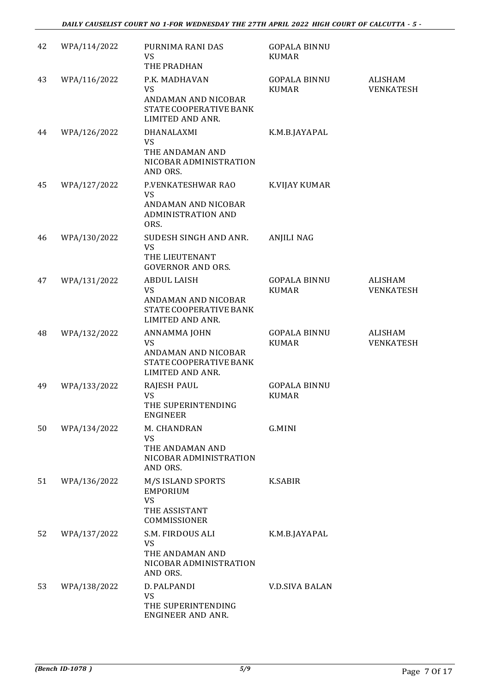| 42 | WPA/114/2022 | PURNIMA RANI DAS<br>VS<br>THE PRADHAN                                                                 | <b>GOPALA BINNU</b><br><b>KUMAR</b> |                                    |
|----|--------------|-------------------------------------------------------------------------------------------------------|-------------------------------------|------------------------------------|
| 43 | WPA/116/2022 | P.K. MADHAVAN<br><b>VS</b><br>ANDAMAN AND NICOBAR<br>STATE COOPERATIVE BANK<br>LIMITED AND ANR.       | <b>GOPALA BINNU</b><br><b>KUMAR</b> | ALISHAM<br><b>VENKATESH</b>        |
| 44 | WPA/126/2022 | DHANALAXMI<br><b>VS</b><br>THE ANDAMAN AND<br>NICOBAR ADMINISTRATION<br>AND ORS.                      | K.M.B.JAYAPAL                       |                                    |
| 45 | WPA/127/2022 | P.VENKATESHWAR RAO<br><b>VS</b><br>ANDAMAN AND NICOBAR<br><b>ADMINISTRATION AND</b><br>ORS.           | K.VIJAY KUMAR                       |                                    |
| 46 | WPA/130/2022 | SUDESH SINGH AND ANR.<br><b>VS</b><br>THE LIEUTENANT<br><b>GOVERNOR AND ORS.</b>                      | <b>ANJILI NAG</b>                   |                                    |
| 47 | WPA/131/2022 | <b>ABDUL LAISH</b><br><b>VS</b><br>ANDAMAN AND NICOBAR<br>STATE COOPERATIVE BANK<br>LIMITED AND ANR.  | <b>GOPALA BINNU</b><br><b>KUMAR</b> | <b>ALISHAM</b><br><b>VENKATESH</b> |
| 48 | WPA/132/2022 | ANNAMMA JOHN<br><b>VS</b><br>ANDAMAN AND NICOBAR<br>STATE COOPERATIVE BANK<br><b>LIMITED AND ANR.</b> | <b>GOPALA BINNU</b><br><b>KUMAR</b> | <b>ALISHAM</b><br><b>VENKATESH</b> |
| 49 | WPA/133/2022 | <b>RAJESH PAUL</b><br><b>VS</b><br>THE SUPERINTENDING<br><b>ENGINEER</b>                              | <b>GOPALA BINNU</b><br><b>KUMAR</b> |                                    |
| 50 | WPA/134/2022 | M. CHANDRAN<br><b>VS</b><br>THE ANDAMAN AND<br>NICOBAR ADMINISTRATION<br>AND ORS.                     | G.MINI                              |                                    |
| 51 | WPA/136/2022 | M/S ISLAND SPORTS<br><b>EMPORIUM</b><br><b>VS</b><br>THE ASSISTANT<br>COMMISSIONER                    | <b>K.SABIR</b>                      |                                    |
| 52 | WPA/137/2022 | S.M. FIRDOUS ALI<br><b>VS</b><br>THE ANDAMAN AND<br>NICOBAR ADMINISTRATION<br>AND ORS.                | K.M.B.JAYAPAL                       |                                    |
| 53 | WPA/138/2022 | D. PALPANDI<br><b>VS</b><br>THE SUPERINTENDING<br>ENGINEER AND ANR.                                   | <b>V.D.SIVA BALAN</b>               |                                    |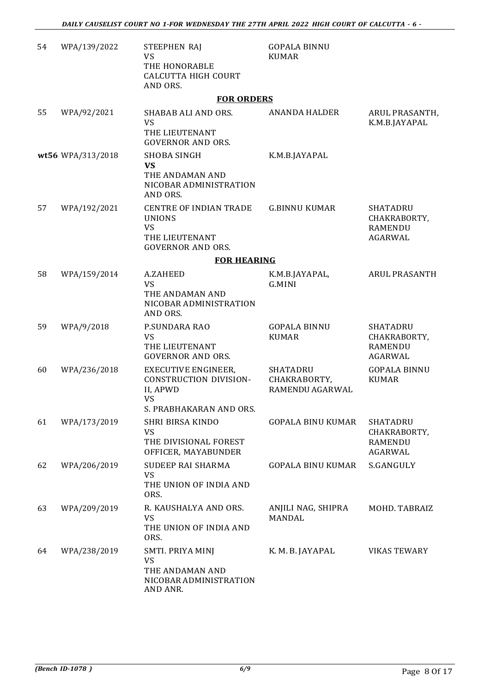| 54 | WPA/139/2022      | STEEPHEN RAJ<br>VS<br>THE HONORABLE<br><b>CALCUTTA HIGH COURT</b><br>AND ORS.                            | <b>GOPALA BINNU</b><br><b>KUMAR</b>                |                                                                     |
|----|-------------------|----------------------------------------------------------------------------------------------------------|----------------------------------------------------|---------------------------------------------------------------------|
|    |                   | <b>FOR ORDERS</b>                                                                                        |                                                    |                                                                     |
| 55 | WPA/92/2021       | SHABAB ALI AND ORS.<br><b>VS</b><br>THE LIEUTENANT<br><b>GOVERNOR AND ORS.</b>                           | <b>ANANDA HALDER</b>                               | ARUL PRASANTH,<br>K.M.B.JAYAPAL                                     |
|    | wt56 WPA/313/2018 | SHOBA SINGH<br><b>VS</b><br>THE ANDAMAN AND                                                              | K.M.B.JAYAPAL                                      |                                                                     |
|    |                   | NICOBAR ADMINISTRATION<br>AND ORS.                                                                       |                                                    |                                                                     |
| 57 | WPA/192/2021      | <b>CENTRE OF INDIAN TRADE</b><br><b>UNIONS</b><br>VS<br>THE LIEUTENANT<br><b>GOVERNOR AND ORS.</b>       | <b>G.BINNU KUMAR</b>                               | <b>SHATADRU</b><br>CHAKRABORTY,<br><b>RAMENDU</b><br><b>AGARWAL</b> |
|    |                   | <b>FOR HEARING</b>                                                                                       |                                                    |                                                                     |
| 58 | WPA/159/2014      | A.ZAHEED<br><b>VS</b><br>THE ANDAMAN AND<br>NICOBAR ADMINISTRATION<br>AND ORS.                           | K.M.B.JAYAPAL,<br>G.MINI                           | ARUL PRASANTH                                                       |
| 59 | WPA/9/2018        | P.SUNDARA RAO<br><b>VS</b><br>THE LIEUTENANT<br><b>GOVERNOR AND ORS.</b>                                 | <b>GOPALA BINNU</b><br><b>KUMAR</b>                | <b>SHATADRU</b><br>CHAKRABORTY,<br><b>RAMENDU</b><br><b>AGARWAL</b> |
| 60 | WPA/236/2018      | <b>EXECUTIVE ENGINEER,</b><br>CONSTRUCTION DIVISION-<br>II, APWD<br><b>VS</b><br>S. PRABHAKARAN AND ORS. | <b>SHATADRU</b><br>CHAKRABORTY,<br>RAMENDU AGARWAL | <b>GOPALA BINNU</b><br><b>KUMAR</b>                                 |
| 61 | WPA/173/2019      | <b>SHRI BIRSA KINDO</b><br>VS<br>THE DIVISIONAL FOREST<br>OFFICER, MAYABUNDER                            | <b>GOPALA BINU KUMAR</b>                           | <b>SHATADRU</b><br>CHAKRABORTY,<br><b>RAMENDU</b><br><b>AGARWAL</b> |
| 62 | WPA/206/2019      | SUDEEP RAI SHARMA<br><b>VS</b><br>THE UNION OF INDIA AND<br>ORS.                                         | <b>GOPALA BINU KUMAR</b>                           | S.GANGULY                                                           |
| 63 | WPA/209/2019      | R. KAUSHALYA AND ORS.<br>VS<br>THE UNION OF INDIA AND<br>ORS.                                            | ANJILI NAG, SHIPRA<br>MANDAL                       | MOHD. TABRAIZ                                                       |
| 64 | WPA/238/2019      | SMTI. PRIYA MINJ<br>VS<br>THE ANDAMAN AND<br>NICOBAR ADMINISTRATION<br>AND ANR.                          | K. M. B. JAYAPAL                                   | <b>VIKAS TEWARY</b>                                                 |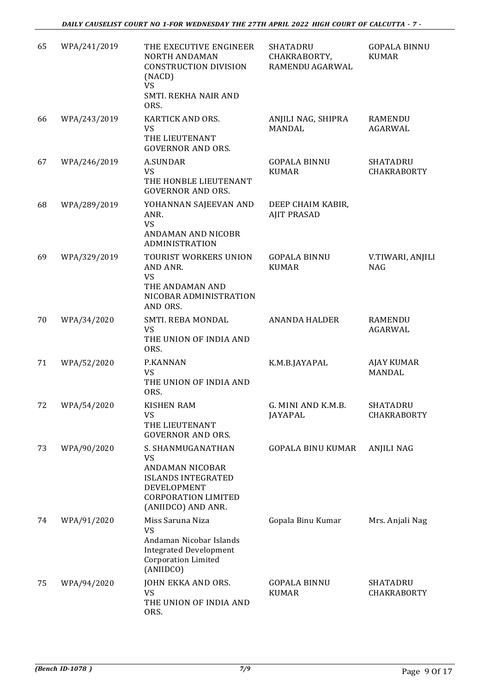| 65 | WPA/241/2019 | THE EXECUTIVE ENGINEER<br><b>NORTH ANDAMAN</b><br>CONSTRUCTION DIVISION<br>(NACD)<br>VS<br>SMTI. REKHA NAIR AND                            | <b>SHATADRU</b><br>CHAKRABORTY,<br>RAMENDU AGARWAL | <b>GOPALA BINNU</b><br><b>KUMAR</b>   |
|----|--------------|--------------------------------------------------------------------------------------------------------------------------------------------|----------------------------------------------------|---------------------------------------|
| 66 | WPA/243/2019 | ORS.<br><b>KARTICK AND ORS.</b><br>VS<br>THE LIEUTENANT                                                                                    | ANJILI NAG, SHIPRA<br>MANDAL                       | RAMENDU<br>AGARWAL                    |
| 67 | WPA/246/2019 | <b>GOVERNOR AND ORS.</b><br><b>A.SUNDAR</b><br><b>VS</b><br>THE HONBLE LIEUTENANT<br><b>GOVERNOR AND ORS.</b>                              | <b>GOPALA BINNU</b><br><b>KUMAR</b>                | <b>SHATADRU</b><br><b>CHAKRABORTY</b> |
| 68 | WPA/289/2019 | YOHANNAN SAJEEVAN AND<br>ANR.<br>VS<br>ANDAMAN AND NICOBR<br><b>ADMINISTRATION</b>                                                         | DEEP CHAIM KABIR,<br><b>AJIT PRASAD</b>            |                                       |
| 69 | WPA/329/2019 | TOURIST WORKERS UNION<br>AND ANR.<br><b>VS</b><br>THE ANDAMAN AND                                                                          | <b>GOPALA BINNU</b><br><b>KUMAR</b>                | V.TIWARI, ANJILI<br><b>NAG</b>        |
|    |              | NICOBAR ADMINISTRATION<br>AND ORS.                                                                                                         |                                                    |                                       |
| 70 | WPA/34/2020  | SMTI. REBA MONDAL<br><b>VS</b><br>THE UNION OF INDIA AND<br>ORS.                                                                           | <b>ANANDA HALDER</b>                               | <b>RAMENDU</b><br>AGARWAL             |
| 71 | WPA/52/2020  | P.KANNAN<br><b>VS</b><br>THE UNION OF INDIA AND<br>ORS.                                                                                    | K.M.B.JAYAPAL                                      | <b>AJAY KUMAR</b><br><b>MANDAL</b>    |
| 72 | WPA/54/2020  | <b>KISHEN RAM</b><br>VS<br>THE LIEUTENANT<br><b>GOVERNOR AND ORS.</b>                                                                      | G. MINI AND K.M.B.<br><b>JAYAPAL</b>               | <b>SHATADRU</b><br><b>CHAKRABORTY</b> |
| 73 | WPA/90/2020  | S. SHANMUGANATHAN<br>VS<br>ANDAMAN NICOBAR<br><b>ISLANDS INTEGRATED</b><br>DEVELOPMENT<br><b>CORPORATION LIMITED</b><br>(ANIIDCO) AND ANR. | <b>GOPALA BINU KUMAR</b>                           | <b>ANJILI NAG</b>                     |
| 74 | WPA/91/2020  | Miss Saruna Niza<br>VS<br>Andaman Nicobar Islands<br><b>Integrated Development</b><br><b>Corporation Limited</b><br>(ANIIDCO)              | Gopala Binu Kumar                                  | Mrs. Anjali Nag                       |
| 75 | WPA/94/2020  | JOHN EKKA AND ORS.<br>VS<br>THE UNION OF INDIA AND<br>ORS.                                                                                 | <b>GOPALA BINNU</b><br><b>KUMAR</b>                | <b>SHATADRU</b><br>CHAKRABORTY        |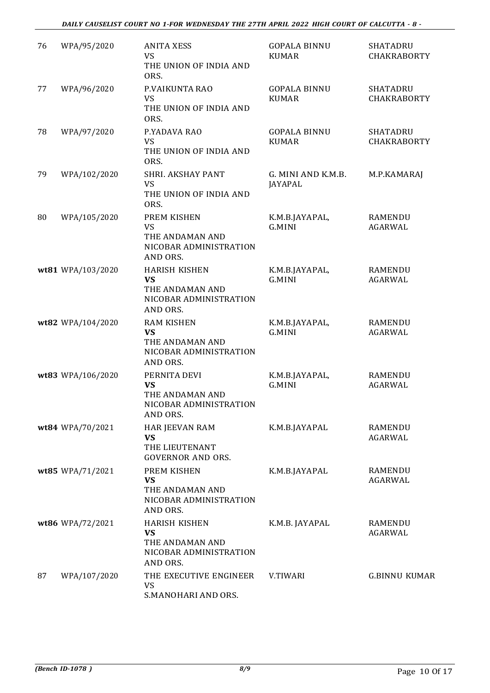| 76 | WPA/95/2020       | <b>ANITA XESS</b><br>VS<br>THE UNION OF INDIA AND<br>ORS.                                  | <b>GOPALA BINNU</b><br><b>KUMAR</b>  | <b>SHATADRU</b><br><b>CHAKRABORTY</b> |
|----|-------------------|--------------------------------------------------------------------------------------------|--------------------------------------|---------------------------------------|
| 77 | WPA/96/2020       | P.VAIKUNTA RAO<br><b>VS</b><br>THE UNION OF INDIA AND<br>ORS.                              | <b>GOPALA BINNU</b><br><b>KUMAR</b>  | <b>SHATADRU</b><br><b>CHAKRABORTY</b> |
| 78 | WPA/97/2020       | P.YADAVA RAO<br><b>VS</b><br>THE UNION OF INDIA AND<br>ORS.                                | <b>GOPALA BINNU</b><br><b>KUMAR</b>  | <b>SHATADRU</b><br><b>CHAKRABORTY</b> |
| 79 | WPA/102/2020      | <b>SHRI. AKSHAY PANT</b><br>VS<br>THE UNION OF INDIA AND<br>ORS.                           | G. MINI AND K.M.B.<br><b>JAYAPAL</b> | M.P.KAMARAJ                           |
| 80 | WPA/105/2020      | PREM KISHEN<br><b>VS</b><br>THE ANDAMAN AND<br>NICOBAR ADMINISTRATION<br>AND ORS.          | K.M.B.JAYAPAL,<br>G.MINI             | RAMENDU<br><b>AGARWAL</b>             |
|    | wt81 WPA/103/2020 | <b>HARISH KISHEN</b><br><b>VS</b><br>THE ANDAMAN AND<br>NICOBAR ADMINISTRATION<br>AND ORS. | K.M.B.JAYAPAL,<br>G.MINI             | <b>RAMENDU</b><br>AGARWAL             |
|    | wt82 WPA/104/2020 | <b>RAM KISHEN</b><br><b>VS</b><br>THE ANDAMAN AND<br>NICOBAR ADMINISTRATION<br>AND ORS.    | K.M.B.JAYAPAL,<br>G.MINI             | <b>RAMENDU</b><br>AGARWAL             |
|    | wt83 WPA/106/2020 | PERNITA DEVI<br><b>VS</b><br>THE ANDAMAN AND<br>NICOBAR ADMINISTRATION<br>AND ORS.         | K.M.B.JAYAPAL,<br>G.MINI             | RAMENDU<br>AGARWAL                    |
|    | wt84 WPA/70/2021  | HAR JEEVAN RAM<br><b>VS</b><br>THE LIEUTENANT<br><b>GOVERNOR AND ORS.</b>                  | K.M.B.JAYAPAL                        | <b>RAMENDU</b><br>AGARWAL             |
|    | wt85 WPA/71/2021  | PREM KISHEN<br>VS<br>THE ANDAMAN AND<br>NICOBAR ADMINISTRATION<br>AND ORS.                 | K.M.B.JAYAPAL                        | <b>RAMENDU</b><br>AGARWAL             |
|    | wt86 WPA/72/2021  | <b>HARISH KISHEN</b><br><b>VS</b><br>THE ANDAMAN AND<br>NICOBAR ADMINISTRATION<br>AND ORS. | K.M.B. JAYAPAL                       | RAMENDU<br>AGARWAL                    |
| 87 | WPA/107/2020      | THE EXECUTIVE ENGINEER<br>VS<br>S.MANOHARI AND ORS.                                        | V.TIWARI                             | <b>G.BINNU KUMAR</b>                  |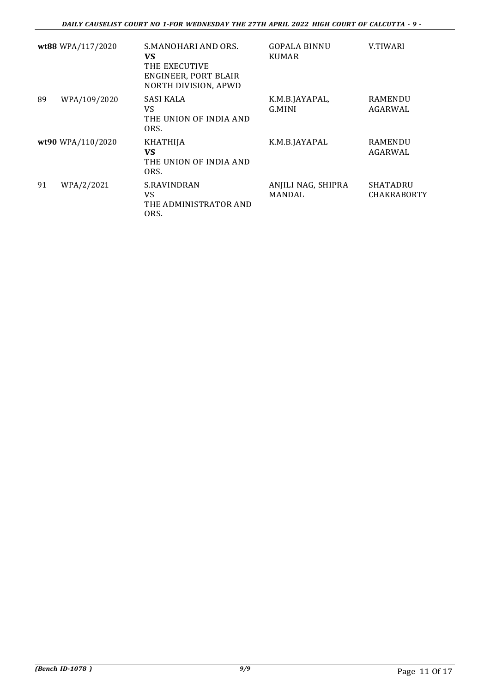|    | wt88 WPA/117/2020 | S.MANOHARI AND ORS.<br><b>VS</b><br>THE EXECUTIVE<br>ENGINEER, PORT BLAIR<br>NORTH DIVISION, APWD | GOPALA BINNU<br><b>KUMAR</b>        | V.TIWARI                       |
|----|-------------------|---------------------------------------------------------------------------------------------------|-------------------------------------|--------------------------------|
| 89 | WPA/109/2020      | SASI KALA<br>VS.<br>THE UNION OF INDIA AND<br>ORS.                                                | K.M.B.JAYAPAL,<br>G.MINI            | <b>RAMENDU</b><br>AGARWAL      |
|    | wt90 WPA/110/2020 | <b>KHATHIJA</b><br><b>VS</b><br>THE UNION OF INDIA AND<br>ORS.                                    | K.M.B.JAYAPAL                       | <b>RAMENDU</b><br>AGARWAL      |
| 91 | WPA/2/2021        | <b>S.RAVINDRAN</b><br>VS<br>THE ADMINISTRATOR AND<br>ORS.                                         | ANJILI NAG, SHIPRA<br><b>MANDAL</b> | SHATADRU<br><b>CHAKRABORTY</b> |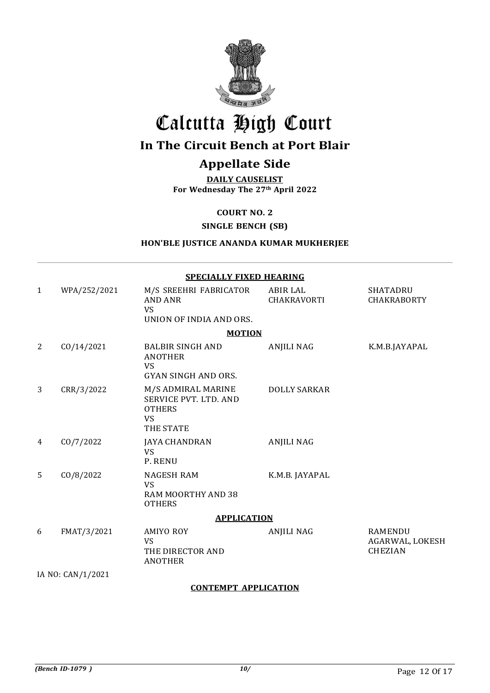

# Calcutta High Court

### In The Circuit Bench at Port Blair

## Appellate Side

DAILY CAUSELIST For Wednesday The 27th April 2022

COURT NO. 2

#### SINGLE BENCH (SB)

#### HON'BLE JUSTICE ANANDA KUMAR MUKHERJEE

|                    | <b>SPECIALLY FIXED HEARING</b> |                                                                                        |                                       |                                                     |  |  |
|--------------------|--------------------------------|----------------------------------------------------------------------------------------|---------------------------------------|-----------------------------------------------------|--|--|
| $\mathbf{1}$       | WPA/252/2021                   | M/S SREEHRI FABRICATOR<br><b>AND ANR</b><br><b>VS</b><br>UNION OF INDIA AND ORS.       | <b>ABIR LAL</b><br><b>CHAKRAVORTI</b> | <b>SHATADRU</b><br><b>CHAKRABORTY</b>               |  |  |
|                    |                                | <b>MOTION</b>                                                                          |                                       |                                                     |  |  |
| 2                  | CO/14/2021                     | <b>BALBIR SINGH AND</b><br><b>ANOTHER</b><br><b>VS</b><br><b>GYAN SINGH AND ORS.</b>   | <b>ANJILI NAG</b>                     | K.M.B.JAYAPAL                                       |  |  |
| 3                  | CRR/3/2022                     | M/S ADMIRAL MARINE<br>SERVICE PVT. LTD. AND<br><b>OTHERS</b><br><b>VS</b><br>THE STATE | <b>DOLLY SARKAR</b>                   |                                                     |  |  |
| 4                  | CO/7/2022                      | <b>JAYA CHANDRAN</b><br><b>VS</b><br>P. RENU                                           | <b>ANJILI NAG</b>                     |                                                     |  |  |
| 5                  | CO/8/2022                      | <b>NAGESH RAM</b><br><b>VS</b><br>RAM MOORTHY AND 38<br><b>OTHERS</b>                  | K.M.B. JAYAPAL                        |                                                     |  |  |
| <b>APPLICATION</b> |                                |                                                                                        |                                       |                                                     |  |  |
| 6                  | FMAT/3/2021                    | <b>AMIYO ROY</b><br>VS<br>THE DIRECTOR AND<br><b>ANOTHER</b>                           | <b>ANJILI NAG</b>                     | <b>RAMENDU</b><br>AGARWAL, LOKESH<br><b>CHEZIAN</b> |  |  |
| IA NO: CAN/1/2021  |                                |                                                                                        |                                       |                                                     |  |  |

#### CONTEMPT APPLICATION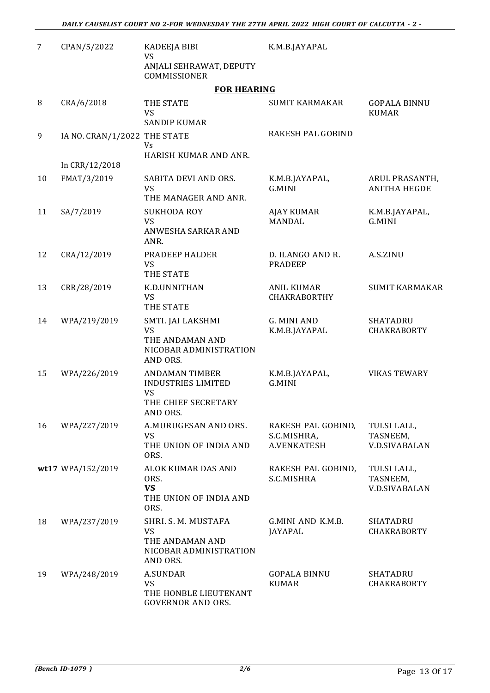| 7  | CPAN/5/2022                  | <b>KADEEJA BIBI</b><br><b>VS</b>                                                        | K.M.B.JAYAPAL                                           |                                                 |
|----|------------------------------|-----------------------------------------------------------------------------------------|---------------------------------------------------------|-------------------------------------------------|
|    |                              | ANJALI SEHRAWAT, DEPUTY<br>COMMISSIONER                                                 |                                                         |                                                 |
|    |                              | <b>FOR HEARING</b>                                                                      |                                                         |                                                 |
| 8  | CRA/6/2018                   | THE STATE<br><b>VS</b><br><b>SANDIP KUMAR</b>                                           | <b>SUMIT KARMAKAR</b>                                   | <b>GOPALA BINNU</b><br><b>KUMAR</b>             |
| 9  | IA NO. CRAN/1/2022 THE STATE | Vs                                                                                      | RAKESH PAL GOBIND                                       |                                                 |
|    |                              | HARISH KUMAR AND ANR.                                                                   |                                                         |                                                 |
|    | In CRR/12/2018               |                                                                                         |                                                         |                                                 |
| 10 | FMAT/3/2019                  | SABITA DEVI AND ORS.<br>VS<br>THE MANAGER AND ANR.                                      | K.M.B.JAYAPAL,<br><b>G.MINI</b>                         | ARUL PRASANTH,<br><b>ANITHA HEGDE</b>           |
| 11 | SA/7/2019                    | <b>SUKHODA ROY</b><br><b>VS</b><br>ANWESHA SARKAR AND<br>ANR.                           | AJAY KUMAR<br><b>MANDAL</b>                             | K.M.B.JAYAPAL,<br>G.MINI                        |
| 12 | CRA/12/2019                  | PRADEEP HALDER<br><b>VS</b><br>THE STATE                                                | D. ILANGO AND R.<br><b>PRADEEP</b>                      | A.S.ZINU                                        |
| 13 | CRR/28/2019                  | K.D.UNNITHAN<br>VS<br>THE STATE                                                         | <b>ANIL KUMAR</b><br>CHAKRABORTHY                       | <b>SUMIT KARMAKAR</b>                           |
| 14 | WPA/219/2019                 | SMTI. JAI LAKSHMI<br><b>VS</b><br>THE ANDAMAN AND<br>NICOBAR ADMINISTRATION<br>AND ORS. | G. MINI AND<br>K.M.B.JAYAPAL                            | <b>SHATADRU</b><br>CHAKRABORTY                  |
| 15 | WPA/226/2019                 | <b>ANDAMAN TIMBER</b><br><b>INDUSTRIES LIMITED</b><br><b>VS</b><br>THE CHIEF SECRETARY  | K.M.B.JAYAPAL,<br>G.MINI                                | <b>VIKAS TEWARY</b>                             |
| 16 | WPA/227/2019                 | AND ORS.<br>A.MURUGESAN AND ORS.<br>VS<br>THE UNION OF INDIA AND<br>ORS.                | RAKESH PAL GOBIND,<br>S.C.MISHRA,<br><b>A.VENKATESH</b> | TULSI LALL,<br>TASNEEM,<br><b>V.D.SIVABALAN</b> |
|    | wt17 WPA/152/2019            | ALOK KUMAR DAS AND<br>ORS.<br><b>VS</b><br>THE UNION OF INDIA AND<br>ORS.               | RAKESH PAL GOBIND,<br>S.C.MISHRA                        | TULSI LALL,<br>TASNEEM,<br><b>V.D.SIVABALAN</b> |
| 18 | WPA/237/2019                 | SHRI. S. M. MUSTAFA<br>VS<br>THE ANDAMAN AND<br>NICOBAR ADMINISTRATION<br>AND ORS.      | G.MINI AND K.M.B.<br><b>JAYAPAL</b>                     | <b>SHATADRU</b><br><b>CHAKRABORTY</b>           |
| 19 | WPA/248/2019                 | A.SUNDAR<br>VS<br>THE HONBLE LIEUTENANT<br><b>GOVERNOR AND ORS.</b>                     | <b>GOPALA BINNU</b><br><b>KUMAR</b>                     | <b>SHATADRU</b><br><b>CHAKRABORTY</b>           |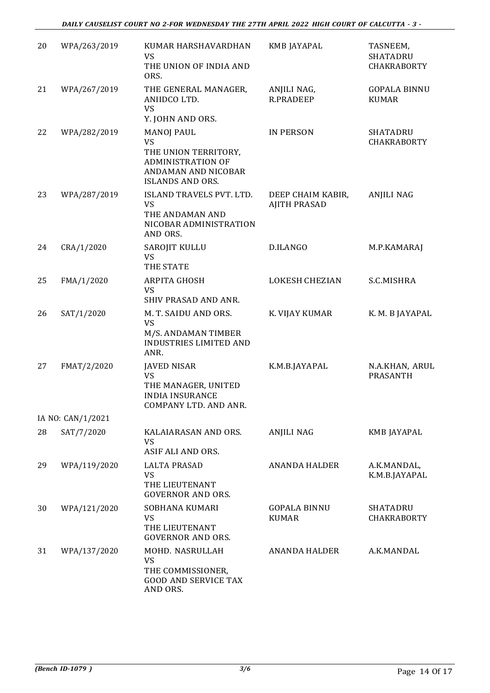| 20 | WPA/263/2019      | KUMAR HARSHAVARDHAN<br>VS<br>THE UNION OF INDIA AND<br>ORS.                                                                          | KMB JAYAPAL                              | TASNEEM,<br><b>SHATADRU</b><br><b>CHAKRABORTY</b> |
|----|-------------------|--------------------------------------------------------------------------------------------------------------------------------------|------------------------------------------|---------------------------------------------------|
| 21 | WPA/267/2019      | THE GENERAL MANAGER,<br>ANIIDCO LTD.<br><b>VS</b><br>Y. JOHN AND ORS.                                                                | ANJILI NAG,<br><b>R.PRADEEP</b>          | <b>GOPALA BINNU</b><br><b>KUMAR</b>               |
| 22 | WPA/282/2019      | <b>MANOJ PAUL</b><br><b>VS</b><br>THE UNION TERRITORY,<br><b>ADMINISTRATION OF</b><br>ANDAMAN AND NICOBAR<br><b>ISLANDS AND ORS.</b> | <b>IN PERSON</b>                         | SHATADRU<br>CHAKRABORTY                           |
| 23 | WPA/287/2019      | ISLAND TRAVELS PVT. LTD.<br>VS<br>THE ANDAMAN AND<br>NICOBAR ADMINISTRATION<br>AND ORS.                                              | DEEP CHAIM KABIR,<br><b>AJITH PRASAD</b> | <b>ANJILI NAG</b>                                 |
| 24 | CRA/1/2020        | SAROJIT KULLU<br><b>VS</b><br>THE STATE                                                                                              | D.ILANGO                                 | M.P.KAMARAJ                                       |
| 25 | FMA/1/2020        | <b>ARPITA GHOSH</b><br><b>VS</b><br><b>SHIV PRASAD AND ANR.</b>                                                                      | <b>LOKESH CHEZIAN</b>                    | S.C.MISHRA                                        |
| 26 | SAT/1/2020        | M. T. SAIDU AND ORS.<br><b>VS</b><br>M/S. ANDAMAN TIMBER<br><b>INDUSTRIES LIMITED AND</b><br>ANR.                                    | K. VIJAY KUMAR                           | K. M. B JAYAPAL                                   |
| 27 | FMAT/2/2020       | <b>JAVED NISAR</b><br><b>VS</b><br>THE MANAGER, UNITED<br><b>INDIA INSURANCE</b><br>COMPANY LTD. AND ANR.                            | K.M.B.JAYAPAL                            | N.A.KHAN, ARUL<br>PRASANTH                        |
|    | IA NO: CAN/1/2021 |                                                                                                                                      |                                          |                                                   |
| 28 | SAT/7/2020        | KALAIARASAN AND ORS.<br>VS<br>ASIF ALI AND ORS.                                                                                      | <b>ANJILI NAG</b>                        | <b>KMB JAYAPAL</b>                                |
| 29 | WPA/119/2020      | <b>LALTA PRASAD</b><br>VS<br>THE LIEUTENANT<br><b>GOVERNOR AND ORS.</b>                                                              | <b>ANANDA HALDER</b>                     | A.K.MANDAL,<br>K.M.B.JAYAPAL                      |
| 30 | WPA/121/2020      | SOBHANA KUMARI<br>VS<br>THE LIEUTENANT<br><b>GOVERNOR AND ORS.</b>                                                                   | <b>GOPALA BINNU</b><br><b>KUMAR</b>      | SHATADRU<br><b>CHAKRABORTY</b>                    |
| 31 | WPA/137/2020      | MOHD. NASRULLAH<br><b>VS</b><br>THE COMMISSIONER,<br><b>GOOD AND SERVICE TAX</b><br>AND ORS.                                         | <b>ANANDA HALDER</b>                     | A.K.MANDAL                                        |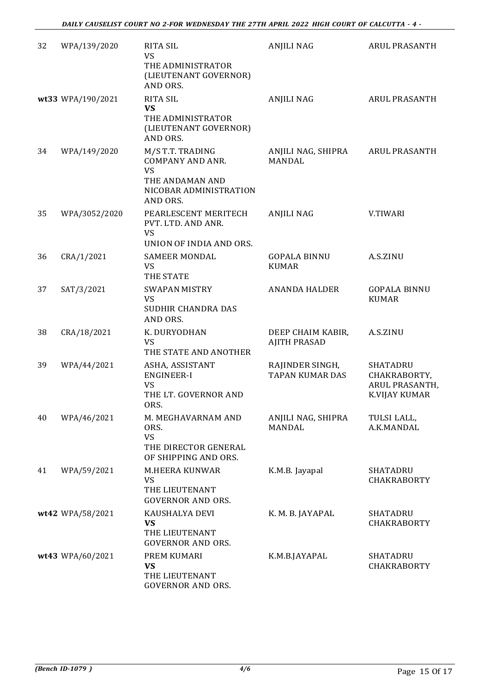| 32 | WPA/139/2020      | <b>RITA SIL</b><br>VS                                                                                             | <b>ANJILI NAG</b>                         | <b>ARUL PRASANTH</b>                                               |
|----|-------------------|-------------------------------------------------------------------------------------------------------------------|-------------------------------------------|--------------------------------------------------------------------|
|    |                   | THE ADMINISTRATOR<br>(LIEUTENANT GOVERNOR)<br>AND ORS.                                                            |                                           |                                                                    |
|    | wt33 WPA/190/2021 | <b>RITA SIL</b><br><b>VS</b><br>THE ADMINISTRATOR<br>(LIEUTENANT GOVERNOR)<br>AND ORS.                            | <b>ANJILI NAG</b>                         | <b>ARUL PRASANTH</b>                                               |
| 34 | WPA/149/2020      | M/S T.T. TRADING<br><b>COMPANY AND ANR.</b><br><b>VS</b><br>THE ANDAMAN AND<br>NICOBAR ADMINISTRATION<br>AND ORS. | ANJILI NAG, SHIPRA<br><b>MANDAL</b>       | <b>ARUL PRASANTH</b>                                               |
| 35 | WPA/3052/2020     | PEARLESCENT MERITECH<br>PVT. LTD. AND ANR.<br>VS<br>UNION OF INDIA AND ORS.                                       | <b>ANJILI NAG</b>                         | V.TIWARI                                                           |
| 36 | CRA/1/2021        | <b>SAMEER MONDAL</b><br><b>VS</b><br>THE STATE                                                                    | <b>GOPALA BINNU</b><br><b>KUMAR</b>       | A.S.ZINU                                                           |
| 37 | SAT/3/2021        | <b>SWAPAN MISTRY</b><br><b>VS</b><br>SUDHIR CHANDRA DAS<br>AND ORS.                                               | <b>ANANDA HALDER</b>                      | <b>GOPALA BINNU</b><br><b>KUMAR</b>                                |
| 38 | CRA/18/2021       | K. DURYODHAN<br><b>VS</b><br>THE STATE AND ANOTHER                                                                | DEEP CHAIM KABIR,<br><b>AJITH PRASAD</b>  | A.S.ZINU                                                           |
| 39 | WPA/44/2021       | ASHA, ASSISTANT<br><b>ENGINEER-I</b><br><b>VS</b><br>THE LT. GOVERNOR AND<br>ORS.                                 | RAJINDER SINGH,<br><b>TAPAN KUMAR DAS</b> | SHATADRU<br>CHAKRABORTY,<br><b>ARUL PRASANTH,</b><br>K.VIJAY KUMAR |
| 40 | WPA/46/2021       | M. MEGHAVARNAM AND<br>ORS.<br><b>VS</b><br>THE DIRECTOR GENERAL<br>OF SHIPPING AND ORS.                           | ANJILI NAG, SHIPRA<br><b>MANDAL</b>       | TULSI LALL,<br>A.K.MANDAL                                          |
| 41 | WPA/59/2021       | M.HEERA KUNWAR<br>VS<br>THE LIEUTENANT<br><b>GOVERNOR AND ORS.</b>                                                | K.M.B. Jayapal                            | SHATADRU<br><b>CHAKRABORTY</b>                                     |
|    | wt42 WPA/58/2021  | KAUSHALYA DEVI<br><b>VS</b><br>THE LIEUTENANT<br><b>GOVERNOR AND ORS.</b>                                         | K. M. B. JAYAPAL                          | SHATADRU<br><b>CHAKRABORTY</b>                                     |
|    | wt43 WPA/60/2021  | PREM KUMARI<br><b>VS</b><br>THE LIEUTENANT<br><b>GOVERNOR AND ORS.</b>                                            | K.M.B.JAYAPAL                             | SHATADRU<br><b>CHAKRABORTY</b>                                     |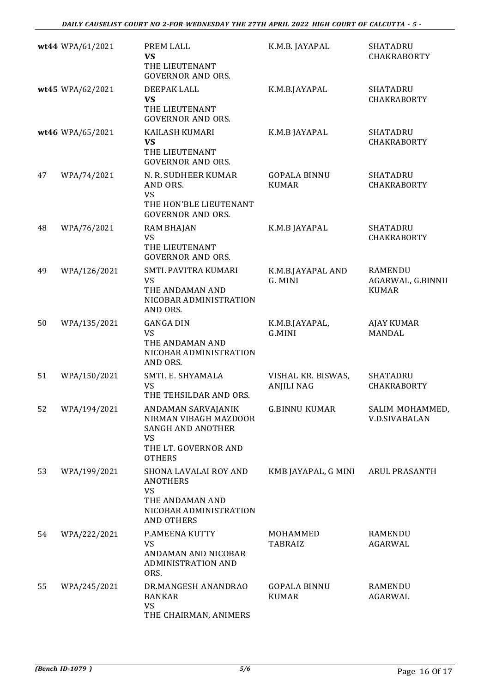|    | wt44 WPA/61/2021 | PREM LALL<br><b>VS</b><br>THE LIEUTENANT<br><b>GOVERNOR AND ORS.</b>                                                          | K.M.B. JAYAPAL                          | <b>SHATADRU</b><br><b>CHAKRABORTY</b>       |
|----|------------------|-------------------------------------------------------------------------------------------------------------------------------|-----------------------------------------|---------------------------------------------|
|    | wt45 WPA/62/2021 | DEEPAK LALL<br><b>VS</b><br>THE LIEUTENANT<br><b>GOVERNOR AND ORS.</b>                                                        | K.M.B.JAYAPAL                           | <b>SHATADRU</b><br><b>CHAKRABORTY</b>       |
|    | wt46 WPA/65/2021 | KAILASH KUMARI<br><b>VS</b><br>THE LIEUTENANT<br><b>GOVERNOR AND ORS.</b>                                                     | K.M.B JAYAPAL                           | SHATADRU<br><b>CHAKRABORTY</b>              |
| 47 | WPA/74/2021      | N. R. SUDHEER KUMAR<br>AND ORS.<br><b>VS</b><br>THE HON'BLE LIEUTENANT<br><b>GOVERNOR AND ORS.</b>                            | <b>GOPALA BINNU</b><br><b>KUMAR</b>     | <b>SHATADRU</b><br><b>CHAKRABORTY</b>       |
| 48 | WPA/76/2021      | <b>RAM BHAJAN</b><br><b>VS</b><br>THE LIEUTENANT<br><b>GOVERNOR AND ORS.</b>                                                  | K.M.B JAYAPAL                           | SHATADRU<br><b>CHAKRABORTY</b>              |
| 49 | WPA/126/2021     | SMTI. PAVITRA KUMARI<br>VS<br>THE ANDAMAN AND<br>NICOBAR ADMINISTRATION<br>AND ORS.                                           | K.M.B.JAYAPAL AND<br>G. MINI            | RAMENDU<br>AGARWAL, G.BINNU<br><b>KUMAR</b> |
| 50 | WPA/135/2021     | <b>GANGA DIN</b><br><b>VS</b><br>THE ANDAMAN AND<br>NICOBAR ADMINISTRATION<br>AND ORS.                                        | K.M.B.JAYAPAL,<br>G.MINI                | <b>AJAY KUMAR</b><br><b>MANDAL</b>          |
| 51 | WPA/150/2021     | SMTI. E. SHYAMALA<br><b>VS</b><br>THE TEHSILDAR AND ORS.                                                                      | VISHAL KR. BISWAS,<br><b>ANJILI NAG</b> | <b>SHATADRU</b><br><b>CHAKRABORTY</b>       |
| 52 | WPA/194/2021     | ANDAMAN SARVAJANIK<br>NIRMAN VIBAGH MAZDOOR<br><b>SANGH AND ANOTHER</b><br><b>VS</b><br>THE LT. GOVERNOR AND<br><b>OTHERS</b> | <b>G.BINNU KUMAR</b>                    | SALIM MOHAMMED<br><b>V.D.SIVABALAN</b>      |
| 53 | WPA/199/2021     | SHONA LAVALAI ROY AND<br><b>ANOTHERS</b><br><b>VS</b><br>THE ANDAMAN AND<br>NICOBAR ADMINISTRATION<br><b>AND OTHERS</b>       | KMB JAYAPAL, G MINI                     | <b>ARUL PRASANTH</b>                        |
| 54 | WPA/222/2021     | P.AMEENA KUTTY<br><b>VS</b><br>ANDAMAN AND NICOBAR<br><b>ADMINISTRATION AND</b><br>ORS.                                       | MOHAMMED<br><b>TABRAIZ</b>              | RAMENDU<br><b>AGARWAL</b>                   |
| 55 | WPA/245/2021     | DR.MANGESH ANANDRAO<br><b>BANKAR</b><br>VS<br>THE CHAIRMAN, ANIMERS                                                           | <b>GOPALA BINNU</b><br><b>KUMAR</b>     | <b>RAMENDU</b><br><b>AGARWAL</b>            |